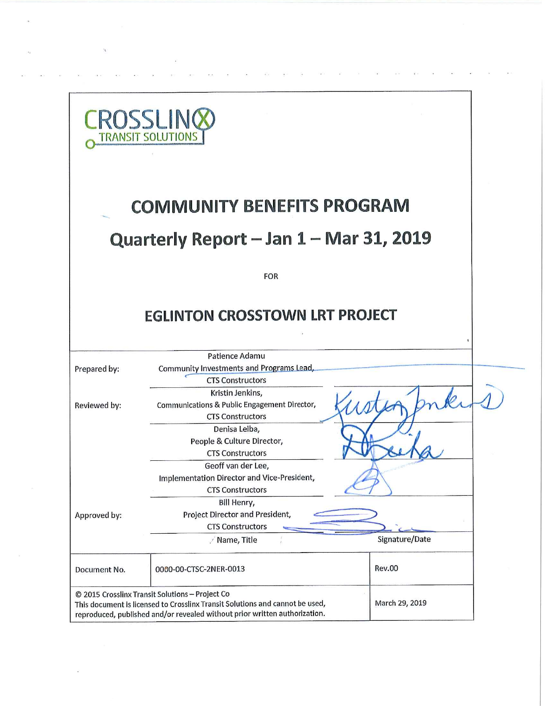|              | <b>CROSSLING</b><br><b>TRANSIT SOLUTIONS</b>                                                                                                                                                                  |                |  |
|--------------|---------------------------------------------------------------------------------------------------------------------------------------------------------------------------------------------------------------|----------------|--|
|              | <b>COMMUNITY BENEFITS PROGRAM</b>                                                                                                                                                                             |                |  |
|              | Quarterly Report - Jan 1 - Mar 31, 2019                                                                                                                                                                       |                |  |
|              | <b>FOR</b>                                                                                                                                                                                                    |                |  |
|              | <b>EGLINTON CROSSTOWN LRT PROJECT</b>                                                                                                                                                                         |                |  |
|              | Patience Adamu                                                                                                                                                                                                |                |  |
| Prepared by: | Community Investments and Programs Lead,<br><b>CTS Constructors</b>                                                                                                                                           |                |  |
| Reviewed by: | Kristin Jenkins,<br>Communications & Public Engagement Director,<br><b>CTS Constructors</b>                                                                                                                   |                |  |
|              | Denisa Leiba,<br>People & Culture Director,<br><b>CTS Constructors</b>                                                                                                                                        |                |  |
|              | Geoff van der Lee,<br>Implementation Director and Vice-President,<br><b>CTS Constructors</b>                                                                                                                  |                |  |
| Approved by: | Bill Henry,<br>Project Director and President,<br><b>CTS Constructors</b>                                                                                                                                     |                |  |
|              | / Name, Title                                                                                                                                                                                                 | Signature/Date |  |
| Document No. | 0000-00-CTSC-2NER-0013                                                                                                                                                                                        | <b>Rev.00</b>  |  |
|              | © 2015 Crosslinx Transit Solutions - Project Co<br>This document is licensed to Crosslinx Transit Solutions and cannot be used,<br>reproduced, published and/or revealed without prior written authorization. | March 29, 2019 |  |

 $\overline{2N}=-\frac{2}{N}T^2=-\overline{3}T^2=-\overline{3}R^2=-\overline{2}T^2=-\overline{3}T=-\overline{3}T^2$ 

 $\epsilon$ 

 $\overline{\phantom{a}}$ 

 $\mathbf{z}$ 

 $\mathcal{L}^{\text{max}}_{\text{max}}$ 

 $\langle \hat{u}^{\dagger}_{\nu} \rangle$  ,  $\langle \hat{u}^{\dagger}_{\nu} \rangle$ 

 $\label{eq:1.1} \frac{\partial \mathbf{y}}{\partial t} = \frac{\partial \mathbf{y}}{\partial t} + \frac{\partial \mathbf{y}}{\partial t} + \frac{\partial \mathbf{y}}{\partial t} + \frac{\partial \mathbf{y}}{\partial t} + \frac{\partial \mathbf{y}}{\partial t} + \frac{\partial \mathbf{y}}{\partial t} + \frac{\partial \mathbf{y}}{\partial t} + \frac{\partial \mathbf{y}}{\partial t} + \frac{\partial \mathbf{y}}{\partial t} + \frac{\partial \mathbf{y}}{\partial t} + \frac{\partial \mathbf{y}}{\partial t} + \frac{\partial \mathbf{y}}{\partial t} + \frac{\partial \mathbf{y}}{\partial t} + \$ 

 $\label{eq:3.1} 900\qquad \quad 0.65\qquad \quad 600\qquad \quad 0.65\qquad \quad 0.75\qquad \quad 0.55\qquad \quad 0.65\qquad \qquad 0.65$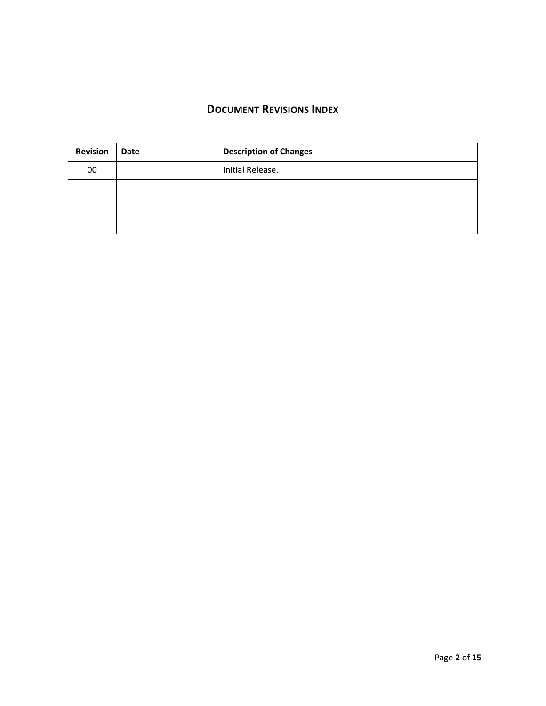# **DOCUMENT REVISIONS INDEX**

| <b>Revision</b> | <b>Date</b> | <b>Description of Changes</b> |
|-----------------|-------------|-------------------------------|
| 00              |             | Initial Release.              |
|                 |             |                               |
|                 |             |                               |
|                 |             |                               |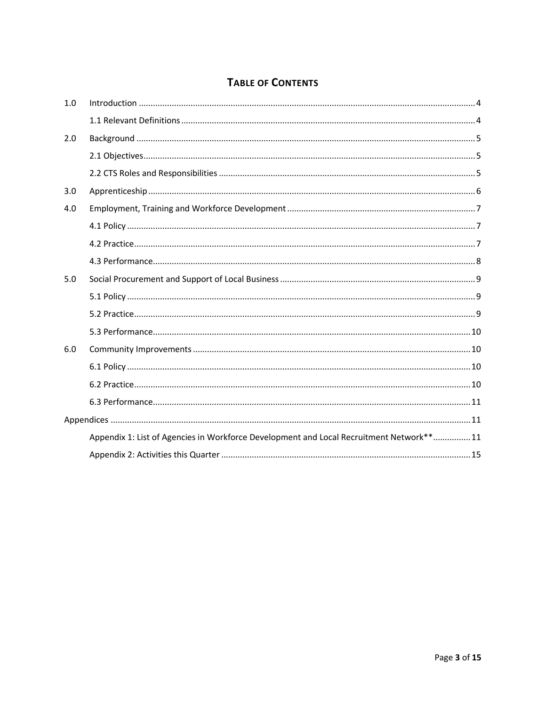# **TABLE OF CONTENTS**

| 1.0 |                                                                                         |  |
|-----|-----------------------------------------------------------------------------------------|--|
|     |                                                                                         |  |
| 2.0 |                                                                                         |  |
|     |                                                                                         |  |
|     |                                                                                         |  |
| 3.0 |                                                                                         |  |
| 4.0 |                                                                                         |  |
|     |                                                                                         |  |
|     |                                                                                         |  |
|     |                                                                                         |  |
| 5.0 |                                                                                         |  |
|     |                                                                                         |  |
|     |                                                                                         |  |
|     |                                                                                         |  |
| 6.0 |                                                                                         |  |
|     |                                                                                         |  |
|     |                                                                                         |  |
|     |                                                                                         |  |
|     |                                                                                         |  |
|     | Appendix 1: List of Agencies in Workforce Development and Local Recruitment Network**11 |  |
|     |                                                                                         |  |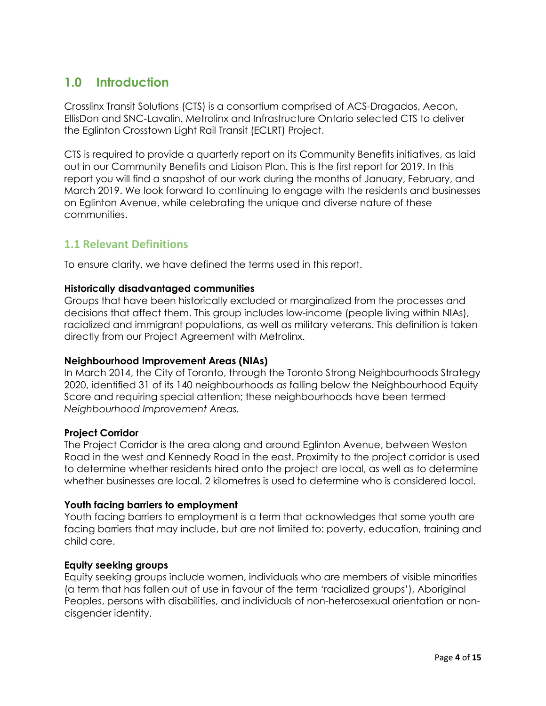# **1.0 Introduction**

Crosslinx Transit Solutions (CTS) is a consortium comprised of ACS-Dragados, Aecon, EllisDon and SNC-Lavalin. Metrolinx and Infrastructure Ontario selected CTS to deliver the Eglinton Crosstown Light Rail Transit (ECLRT) Project.

CTS is required to provide a quarterly report on its Community Benefits initiatives, as laid out in our Community Benefits and Liaison Plan. This is the first report for 2019. In this report you will find a snapshot of our work during the months of January, February, and March 2019. We look forward to continuing to engage with the residents and businesses on Eglinton Avenue, while celebrating the unique and diverse nature of these communities.

# **1.1 Relevant Definitions**

To ensure clarity, we have defined the terms used in this report.

#### **Historically disadvantaged communities**

Groups that have been historically excluded or marginalized from the processes and decisions that affect them. This group includes low-income (people living within NIAs), racialized and immigrant populations, as well as military veterans. This definition is taken directly from our Project Agreement with Metrolinx.

#### **Neighbourhood Improvement Areas (NIAs)**

In March 2014, the City of Toronto, through the Toronto Strong Neighbourhoods Strategy 2020, identified 31 of its 140 neighbourhoods as falling below the Neighbourhood Equity Score and requiring special attention; these neighbourhoods have been termed *Neighbourhood Improvement Areas.*

#### **Project Corridor**

The Project Corridor is the area along and around Eglinton Avenue, between Weston Road in the west and Kennedy Road in the east. Proximity to the project corridor is used to determine whether residents hired onto the project are local, as well as to determine whether businesses are local. 2 kilometres is used to determine who is considered local.

#### **Youth facing barriers to employment**

Youth facing barriers to employment is a term that acknowledges that some youth are facing barriers that may include, but are not limited to: poverty, education, training and child care.

#### **Equity seeking groups**

Equity seeking groups include women, individuals who are members of visible minorities (a term that has fallen out of use in favour of the term 'racialized groups'), Aboriginal Peoples, persons with disabilities, and individuals of non-heterosexual orientation or noncisgender identity.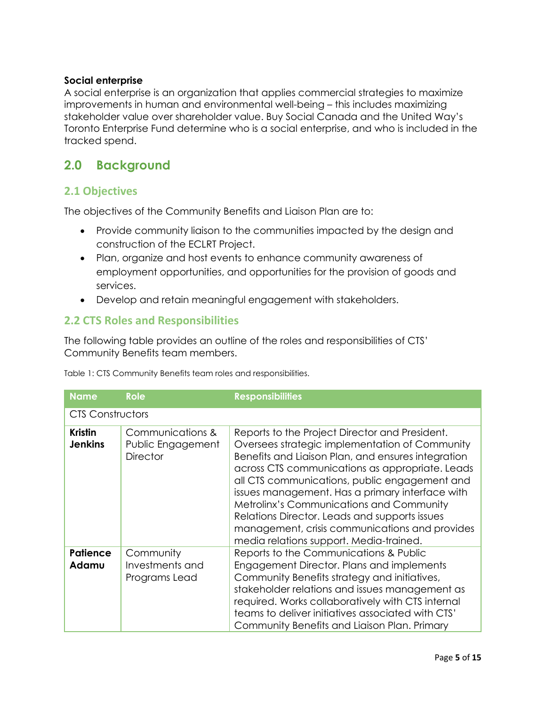### **Social enterprise**

A social enterprise is an organization that applies commercial strategies to maximize improvements in human and environmental well-being – this includes maximizing stakeholder value over shareholder value. Buy Social Canada and the United Way's Toronto Enterprise Fund determine who is a social enterprise, and who is included in the tracked spend.

# **2.0 Background**

### **2.1 Objectives**

The objectives of the Community Benefits and Liaison Plan are to:

- Provide community liaison to the communities impacted by the design and construction of the ECLRT Project.
- Plan, organize and host events to enhance community awareness of employment opportunities, and opportunities for the provision of goods and services.
- Develop and retain meaningful engagement with stakeholders.

# **2.2 CTS Roles and Responsibilities**

The following table provides an outline of the roles and responsibilities of CTS' Community Benefits team members.

Table 1: CTS Community Benefits team roles and responsibilities.

| <b>Name</b>                      | <b>Role</b>                                              | <b>Responsibilities</b>                                                                                                                                                                                                                                                                                                                                                                                                                                                                                        |
|----------------------------------|----------------------------------------------------------|----------------------------------------------------------------------------------------------------------------------------------------------------------------------------------------------------------------------------------------------------------------------------------------------------------------------------------------------------------------------------------------------------------------------------------------------------------------------------------------------------------------|
| <b>CTS Constructors</b>          |                                                          |                                                                                                                                                                                                                                                                                                                                                                                                                                                                                                                |
| <b>Kristin</b><br><b>Jenkins</b> | Communications &<br>Public Engagement<br><b>Director</b> | Reports to the Project Director and President.<br>Oversees strategic implementation of Community<br>Benefits and Liaison Plan, and ensures integration<br>across CTS communications as appropriate. Leads<br>all CTS communications, public engagement and<br>issues management. Has a primary interface with<br><b>Metrolinx's Communications and Community</b><br>Relations Director. Leads and supports issues<br>management, crisis communications and provides<br>media relations support. Media-trained. |
| <b>Patience</b><br>Adamu         | Community<br>Investments and<br>Programs Lead            | Reports to the Communications & Public<br>Engagement Director. Plans and implements<br>Community Benefits strategy and initiatives,<br>stakeholder relations and issues management as<br>required. Works collaboratively with CTS internal<br>teams to deliver initiatives associated with CTS'<br>Community Benefits and Liaison Plan. Primary                                                                                                                                                                |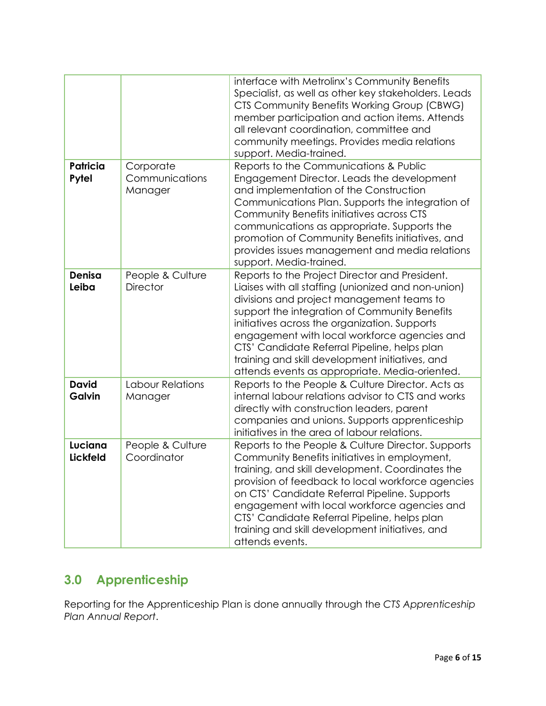|                               |                                        | interface with Metrolinx's Community Benefits<br>Specialist, as well as other key stakeholders. Leads<br>CTS Community Benefits Working Group (CBWG)<br>member participation and action items. Attends<br>all relevant coordination, committee and<br>community meetings. Provides media relations<br>support. Media-trained.                                                                                                                             |
|-------------------------------|----------------------------------------|-----------------------------------------------------------------------------------------------------------------------------------------------------------------------------------------------------------------------------------------------------------------------------------------------------------------------------------------------------------------------------------------------------------------------------------------------------------|
| <b>Patricia</b><br>Pytel      | Corporate<br>Communications<br>Manager | Reports to the Communications & Public<br>Engagement Director. Leads the development<br>and implementation of the Construction<br>Communications Plan. Supports the integration of<br>Community Benefits initiatives across CTS<br>communications as appropriate. Supports the<br>promotion of Community Benefits initiatives, and<br>provides issues management and media relations<br>support. Media-trained.                                           |
| Denisa<br>Leiba               | People & Culture<br><b>Director</b>    | Reports to the Project Director and President.<br>Liaises with all staffing (unionized and non-union)<br>divisions and project management teams to<br>support the integration of Community Benefits<br>initiatives across the organization. Supports<br>engagement with local workforce agencies and<br>CTS' Candidate Referral Pipeline, helps plan<br>training and skill development initiatives, and<br>attends events as appropriate. Media-oriented. |
| <b>David</b><br><b>Galvin</b> | Labour Relations<br>Manager            | Reports to the People & Culture Director. Acts as<br>internal labour relations advisor to CTS and works<br>directly with construction leaders, parent<br>companies and unions. Supports apprenticeship<br>initiatives in the area of labour relations.                                                                                                                                                                                                    |
| Luciana<br><b>Lickfeld</b>    | People & Culture<br>Coordinator        | Reports to the People & Culture Director. Supports<br>Community Benefits initiatives in employment,<br>training, and skill development. Coordinates the<br>provision of feedback to local workforce agencies<br>on CTS' Candidate Referral Pipeline. Supports<br>engagement with local workforce agencies and<br>CTS' Candidate Referral Pipeline, helps plan<br>training and skill development initiatives, and<br>attends events.                       |

# **3.0 Apprenticeship**

Reporting for the Apprenticeship Plan is done annually through the *CTS Apprenticeship Plan Annual Report*.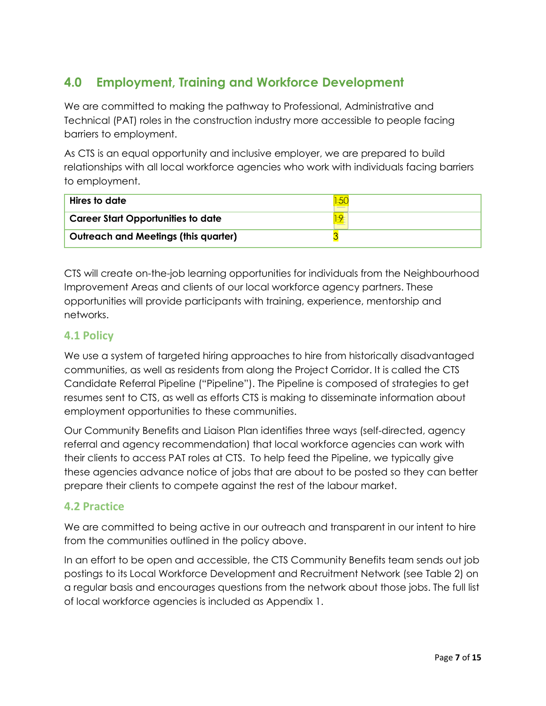# **4.0 Employment, Training and Workforce Development**

We are committed to making the pathway to Professional, Administrative and Technical (PAT) roles in the construction industry more accessible to people facing barriers to employment.

As CTS is an equal opportunity and inclusive employer, we are prepared to build relationships with all local workforce agencies who work with individuals facing barriers to employment.

| Hires to date                             |  |
|-------------------------------------------|--|
| <b>Career Start Opportunities to date</b> |  |
| Outreach and Meetings (this quarter)      |  |

CTS will create on-the-job learning opportunities for individuals from the Neighbourhood Improvement Areas and clients of our local workforce agency partners. These opportunities will provide participants with training, experience, mentorship and networks.

# **4.1 Policy**

We use a system of targeted hiring approaches to hire from historically disadvantaged communities, as well as residents from along the Project Corridor. It is called the CTS Candidate Referral Pipeline ("Pipeline"). The Pipeline is composed of strategies to get resumes sent to CTS, as well as efforts CTS is making to disseminate information about employment opportunities to these communities.

Our Community Benefits and Liaison Plan identifies three ways (self-directed, agency referral and agency recommendation) that local workforce agencies can work with their clients to access PAT roles at CTS. To help feed the Pipeline, we typically give these agencies advance notice of jobs that are about to be posted so they can better prepare their clients to compete against the rest of the labour market.

# **4.2 Practice**

We are committed to being active in our outreach and transparent in our intent to hire from the communities outlined in the policy above.

In an effort to be open and accessible, the CTS Community Benefits team sends out job postings to its Local Workforce Development and Recruitment Network (see Table 2) on a regular basis and encourages questions from the network about those jobs. The full list of local workforce agencies is included as Appendix 1.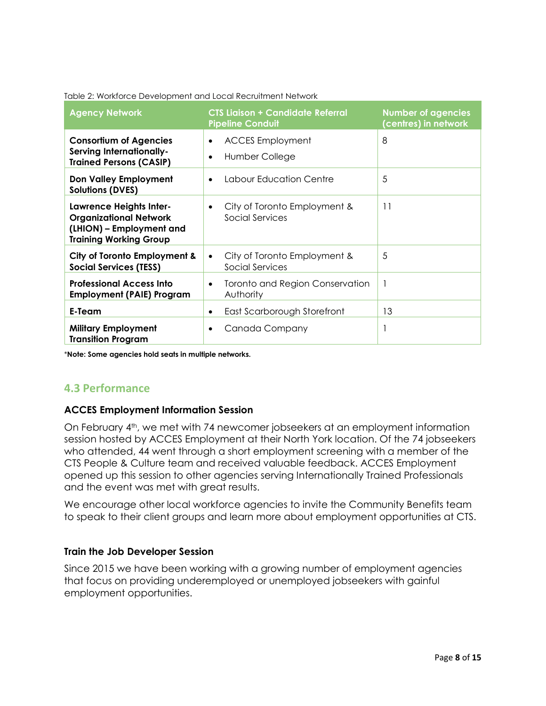| <b>Agency Network</b>                                                                                                        | <b>CTS Ligison + Candidate Referral</b><br><b>Pipeline Conduit</b>  | <b>Number of agencies</b><br>(centres) in network |
|------------------------------------------------------------------------------------------------------------------------------|---------------------------------------------------------------------|---------------------------------------------------|
| <b>Consortium of Agencies</b><br><b>Serving Internationally-</b><br><b>Trained Persons (CASIP)</b>                           | <b>ACCES Employment</b><br>$\bullet$<br>Humber College<br>$\bullet$ | 8                                                 |
| <b>Don Valley Employment</b><br><b>Solutions (DVES)</b>                                                                      | Labour Education Centre<br>$\bullet$                                | 5                                                 |
| <b>Lawrence Heights Inter-</b><br><b>Organizational Network</b><br>(LHION) – Employment and<br><b>Training Working Group</b> | City of Toronto Employment &<br>$\bullet$<br>Social Services        | 11                                                |
| City of Toronto Employment &<br><b>Social Services (TESS)</b>                                                                | City of Toronto Employment &<br>$\bullet$<br>Social Services        | 5                                                 |
| <b>Professional Access Into</b><br><b>Employment (PAIE) Program</b>                                                          | Toronto and Region Conservation<br>$\bullet$<br>Authority           | $\overline{\phantom{a}}$                          |
| E-Team                                                                                                                       | East Scarborough Storefront<br>٠                                    | 13                                                |
| <b>Military Employment</b><br><b>Transition Program</b>                                                                      | Canada Company<br>$\bullet$                                         | $\overline{\phantom{a}}$                          |

#### Table 2: Workforce Development and Local Recruitment Network

\***Note: Some agencies hold seats in multiple networks.** 

### **4.3 Performance**

#### **ACCES Employment Information Session**

On February 4th, we met with 74 newcomer jobseekers at an employment information session hosted by ACCES Employment at their North York location. Of the 74 jobseekers who attended, 44 went through a short employment screening with a member of the CTS People & Culture team and received valuable feedback. ACCES Employment opened up this session to other agencies serving Internationally Trained Professionals and the event was met with great results.

We encourage other local workforce agencies to invite the Community Benefits team to speak to their client groups and learn more about employment opportunities at CTS.

#### **Train the Job Developer Session**

Since 2015 we have been working with a growing number of employment agencies that focus on providing underemployed or unemployed jobseekers with gainful employment opportunities.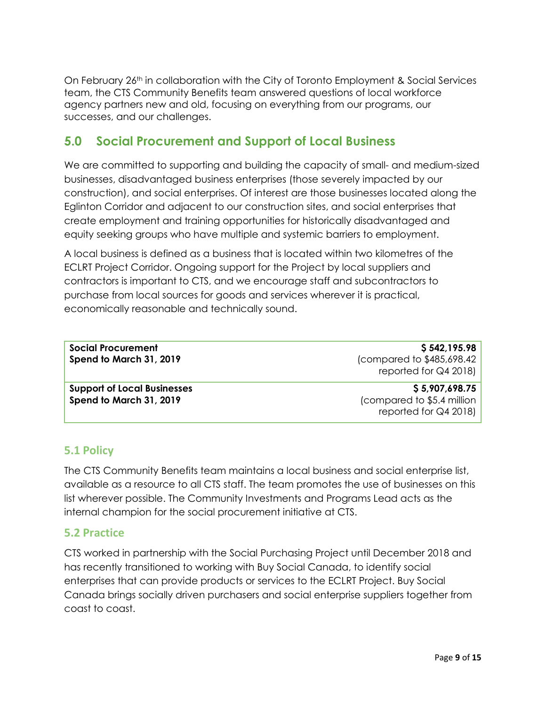On February 26th in collaboration with the City of Toronto Employment & Social Services team, the CTS Community Benefits team answered questions of local workforce agency partners new and old, focusing on everything from our programs, our successes, and our challenges.

# **5.0 Social Procurement and Support of Local Business**

We are committed to supporting and building the capacity of small- and medium-sized businesses, disadvantaged business enterprises (those severely impacted by our construction), and social enterprises. Of interest are those businesses located along the Eglinton Corridor and adjacent to our construction sites, and social enterprises that create employment and training opportunities for historically disadvantaged and equity seeking groups who have multiple and systemic barriers to employment.

A local business is defined as a business that is located within two kilometres of the ECLRT Project Corridor. Ongoing support for the Project by local suppliers and contractors is important to CTS, and we encourage staff and subcontractors to purchase from local sources for goods and services wherever it is practical, economically reasonable and technically sound.

| <b>Social Procurement</b>          | \$542,195.98               |
|------------------------------------|----------------------------|
| Spend to March 31, 2019            | (compared to \$485,698.42) |
|                                    | reported for $Q4$ 2018)    |
|                                    |                            |
| <b>Support of Local Businesses</b> | \$5,907,698.75             |
| Spend to March 31, 2019            | (compared to \$5.4 million |
|                                    | reported for $Q4$ 2018)    |

# **5.1 Policy**

The CTS Community Benefits team maintains a local business and social enterprise list, available as a resource to all CTS staff. The team promotes the use of businesses on this list wherever possible. The Community Investments and Programs Lead acts as the internal champion for the social procurement initiative at CTS.

# **5.2 Practice**

CTS worked in partnership with the Social Purchasing Project until December 2018 and has recently transitioned to working with Buy Social Canada, to identify social enterprises that can provide products or services to the ECLRT Project. Buy Social Canada brings socially driven purchasers and social enterprise suppliers together from coast to coast.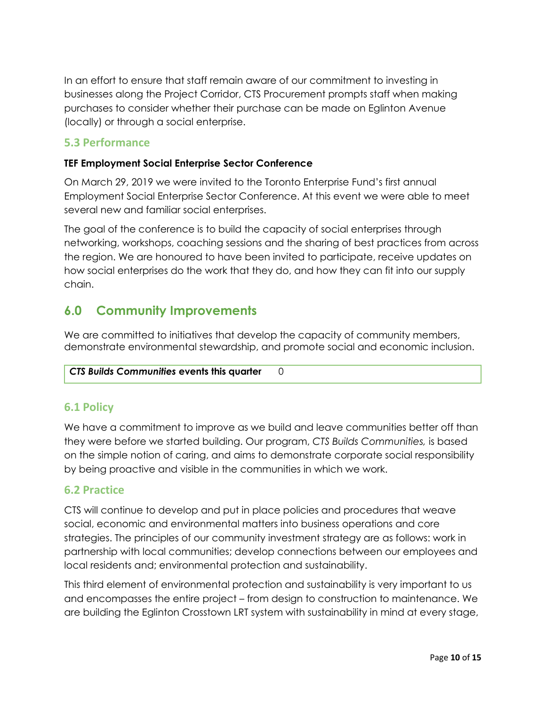In an effort to ensure that staff remain aware of our commitment to investing in businesses along the Project Corridor, CTS Procurement prompts staff when making purchases to consider whether their purchase can be made on Eglinton Avenue (locally) or through a social enterprise.

# **5.3 Performance**

### **TEF Employment Social Enterprise Sector Conference**

On March 29, 2019 we were invited to the Toronto Enterprise Fund's first annual Employment Social Enterprise Sector Conference. At this event we were able to meet several new and familiar social enterprises.

The goal of the conference is to build the capacity of social enterprises through networking, workshops, coaching sessions and the sharing of best practices from across the region. We are honoured to have been invited to participate, receive updates on how social enterprises do the work that they do, and how they can fit into our supply chain.

# **6.0 Community Improvements**

We are committed to initiatives that develop the capacity of community members, demonstrate environmental stewardship, and promote social and economic inclusion.

### *CTS Builds Communities* **events this quarter** 0

# **6.1 Policy**

We have a commitment to improve as we build and leave communities better off than they were before we started building. Our program, *CTS Builds Communities,* is based on the simple notion of caring, and aims to demonstrate corporate social responsibility by being proactive and visible in the communities in which we work.

### **6.2 Practice**

CTS will continue to develop and put in place policies and procedures that weave social, economic and environmental matters into business operations and core strategies. The principles of our community investment strategy are as follows: work in partnership with local communities; develop connections between our employees and local residents and; environmental protection and sustainability.

This third element of environmental protection and sustainability is very important to us and encompasses the entire project – from design to construction to maintenance. We are building the Eglinton Crosstown LRT system with sustainability in mind at every stage,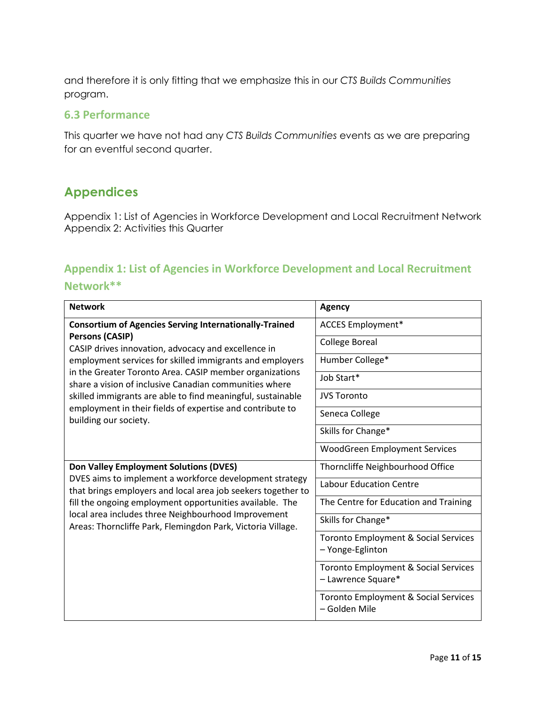and therefore it is only fitting that we emphasize this in our *CTS Builds Communities* program.

#### **6.3 Performance**

This quarter we have not had any *CTS Builds Communities* events as we are preparing for an eventful second quarter.

# **Appendices**

Appendix 1: List of Agencies in Workforce Development and Local Recruitment Network Appendix 2: Activities this Quarter

# **Appendix 1: List of Agencies in Workforce Development and Local Recruitment**

### **Network\*\***

| <b>Network</b>                                                                                                                                                                                                                                                                                            | <b>Agency</b>                                                         |
|-----------------------------------------------------------------------------------------------------------------------------------------------------------------------------------------------------------------------------------------------------------------------------------------------------------|-----------------------------------------------------------------------|
| <b>Consortium of Agencies Serving Internationally-Trained</b>                                                                                                                                                                                                                                             | <b>ACCES Employment*</b>                                              |
| <b>Persons (CASIP)</b><br>CASIP drives innovation, advocacy and excellence in                                                                                                                                                                                                                             | <b>College Boreal</b>                                                 |
| employment services for skilled immigrants and employers                                                                                                                                                                                                                                                  | Humber College*                                                       |
| in the Greater Toronto Area. CASIP member organizations<br>share a vision of inclusive Canadian communities where                                                                                                                                                                                         | Job Start*                                                            |
| skilled immigrants are able to find meaningful, sustainable                                                                                                                                                                                                                                               | <b>JVS Toronto</b>                                                    |
| employment in their fields of expertise and contribute to<br>building our society.                                                                                                                                                                                                                        | Seneca College                                                        |
|                                                                                                                                                                                                                                                                                                           | Skills for Change*                                                    |
|                                                                                                                                                                                                                                                                                                           | WoodGreen Employment Services                                         |
| <b>Don Valley Employment Solutions (DVES)</b>                                                                                                                                                                                                                                                             | Thorncliffe Neighbourhood Office                                      |
| DVES aims to implement a workforce development strategy<br>that brings employers and local area job seekers together to<br>fill the ongoing employment opportunities available. The<br>local area includes three Neighbourhood Improvement<br>Areas: Thorncliffe Park, Flemingdon Park, Victoria Village. | <b>Labour Education Centre</b>                                        |
|                                                                                                                                                                                                                                                                                                           | The Centre for Education and Training                                 |
|                                                                                                                                                                                                                                                                                                           | Skills for Change*                                                    |
|                                                                                                                                                                                                                                                                                                           | Toronto Employment & Social Services<br>- Yonge-Eglinton              |
|                                                                                                                                                                                                                                                                                                           | <b>Toronto Employment &amp; Social Services</b><br>- Lawrence Square* |
|                                                                                                                                                                                                                                                                                                           | <b>Toronto Employment &amp; Social Services</b><br>- Golden Mile      |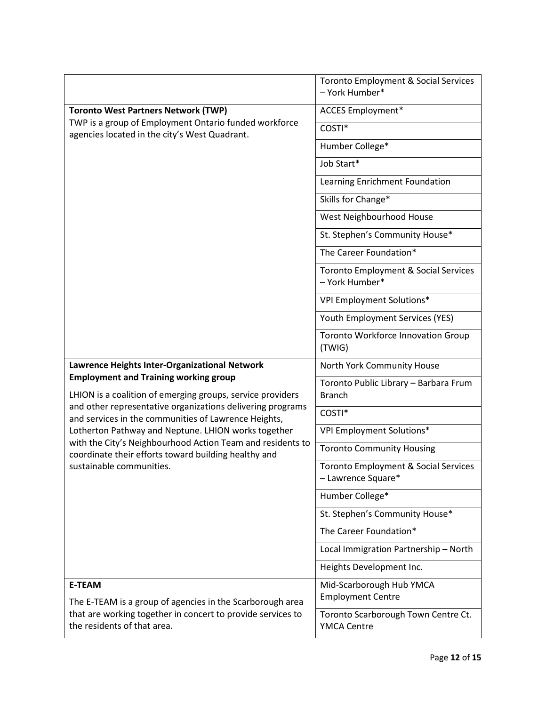|                                                                                                                    | Toronto Employment & Social Services<br>- York Humber*     |
|--------------------------------------------------------------------------------------------------------------------|------------------------------------------------------------|
| <b>Toronto West Partners Network (TWP)</b>                                                                         | <b>ACCES Employment*</b>                                   |
| TWP is a group of Employment Ontario funded workforce<br>agencies located in the city's West Quadrant.             | COSTI*                                                     |
|                                                                                                                    | Humber College*                                            |
|                                                                                                                    | Job Start*                                                 |
|                                                                                                                    | Learning Enrichment Foundation                             |
|                                                                                                                    | Skills for Change*                                         |
|                                                                                                                    | West Neighbourhood House                                   |
|                                                                                                                    | St. Stephen's Community House*                             |
|                                                                                                                    | The Career Foundation*                                     |
|                                                                                                                    | Toronto Employment & Social Services<br>- York Humber*     |
|                                                                                                                    | VPI Employment Solutions*                                  |
|                                                                                                                    | Youth Employment Services (YES)                            |
|                                                                                                                    | Toronto Workforce Innovation Group<br>(TWIG)               |
| Lawrence Heights Inter-Organizational Network                                                                      | North York Community House                                 |
| <b>Employment and Training working group</b><br>LHION is a coalition of emerging groups, service providers         | Toronto Public Library - Barbara Frum<br><b>Branch</b>     |
| and other representative organizations delivering programs<br>and services in the communities of Lawrence Heights, | COSTI*                                                     |
| Lotherton Pathway and Neptune. LHION works together                                                                | VPI Employment Solutions*                                  |
| with the City's Neighbourhood Action Team and residents to<br>coordinate their efforts toward building healthy and | <b>Toronto Community Housing</b>                           |
| sustainable communities.                                                                                           | Toronto Employment & Social Services<br>- Lawrence Square* |
|                                                                                                                    | Humber College*                                            |
|                                                                                                                    | St. Stephen's Community House*                             |
|                                                                                                                    | The Career Foundation*                                     |
|                                                                                                                    | Local Immigration Partnership - North                      |
|                                                                                                                    | Heights Development Inc.                                   |
| <b>E-TEAM</b><br>The E-TEAM is a group of agencies in the Scarborough area                                         | Mid-Scarborough Hub YMCA<br><b>Employment Centre</b>       |
| that are working together in concert to provide services to<br>the residents of that area.                         | Toronto Scarborough Town Centre Ct.<br><b>YMCA Centre</b>  |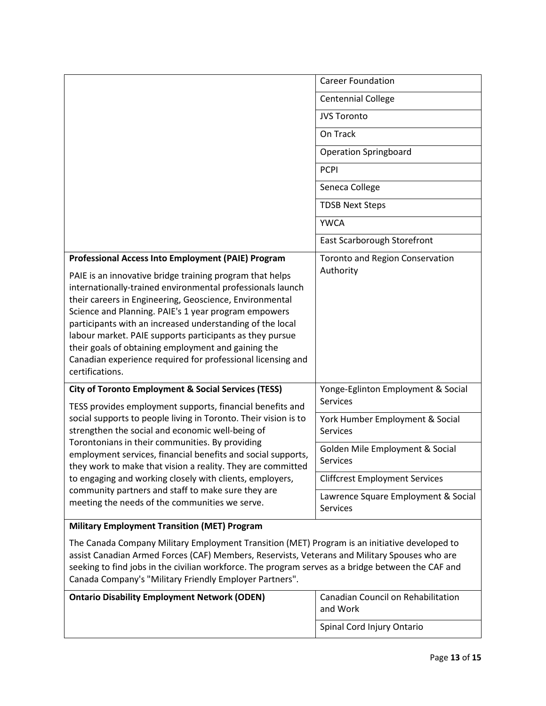|                                                                                                                                                                                                                                                                                                                                                                                                                                                                                                             | <b>Career Foundation</b>                               |
|-------------------------------------------------------------------------------------------------------------------------------------------------------------------------------------------------------------------------------------------------------------------------------------------------------------------------------------------------------------------------------------------------------------------------------------------------------------------------------------------------------------|--------------------------------------------------------|
|                                                                                                                                                                                                                                                                                                                                                                                                                                                                                                             | <b>Centennial College</b>                              |
|                                                                                                                                                                                                                                                                                                                                                                                                                                                                                                             | <b>JVS Toronto</b>                                     |
|                                                                                                                                                                                                                                                                                                                                                                                                                                                                                                             | On Track                                               |
|                                                                                                                                                                                                                                                                                                                                                                                                                                                                                                             | <b>Operation Springboard</b>                           |
|                                                                                                                                                                                                                                                                                                                                                                                                                                                                                                             | <b>PCPI</b>                                            |
|                                                                                                                                                                                                                                                                                                                                                                                                                                                                                                             | Seneca College                                         |
|                                                                                                                                                                                                                                                                                                                                                                                                                                                                                                             | <b>TDSB Next Steps</b>                                 |
|                                                                                                                                                                                                                                                                                                                                                                                                                                                                                                             | <b>YWCA</b>                                            |
|                                                                                                                                                                                                                                                                                                                                                                                                                                                                                                             | East Scarborough Storefront                            |
| Professional Access Into Employment (PAIE) Program                                                                                                                                                                                                                                                                                                                                                                                                                                                          | <b>Toronto and Region Conservation</b>                 |
| PAIE is an innovative bridge training program that helps<br>internationally-trained environmental professionals launch<br>their careers in Engineering, Geoscience, Environmental<br>Science and Planning. PAIE's 1 year program empowers<br>participants with an increased understanding of the local<br>labour market. PAIE supports participants as they pursue<br>their goals of obtaining employment and gaining the<br>Canadian experience required for professional licensing and<br>certifications. | Authority                                              |
| <b>City of Toronto Employment &amp; Social Services (TESS)</b><br>TESS provides employment supports, financial benefits and                                                                                                                                                                                                                                                                                                                                                                                 | Yonge-Eglinton Employment & Social<br><b>Services</b>  |
| social supports to people living in Toronto. Their vision is to<br>strengthen the social and economic well-being of<br>Torontonians in their communities. By providing<br>employment services, financial benefits and social supports,<br>they work to make that vision a reality. They are committed<br>to engaging and working closely with clients, employers,                                                                                                                                           | York Humber Employment & Social<br><b>Services</b>     |
|                                                                                                                                                                                                                                                                                                                                                                                                                                                                                                             | Golden Mile Employment & Social<br><b>Services</b>     |
|                                                                                                                                                                                                                                                                                                                                                                                                                                                                                                             | <b>Cliffcrest Employment Services</b>                  |
| community partners and staff to make sure they are<br>meeting the needs of the communities we serve.                                                                                                                                                                                                                                                                                                                                                                                                        | Lawrence Square Employment & Social<br><b>Services</b> |
| <b>Military Employment Transition (MET) Program</b>                                                                                                                                                                                                                                                                                                                                                                                                                                                         |                                                        |

The Canada Company Military Employment Transition (MET) Program is an initiative developed to assist Canadian Armed Forces (CAF) Members, Reservists, Veterans and Military Spouses who are seeking to find jobs in the civilian workforce. The program serves as a bridge between the CAF and Canada Company's "Military Friendly Employer Partners".

| <b>Ontario Disability Employment Network (ODEN)</b> | <sup>1</sup> Canadian Council on Rehabilitation<br>and Work |
|-----------------------------------------------------|-------------------------------------------------------------|
|                                                     | Spinal Cord Injury Ontario                                  |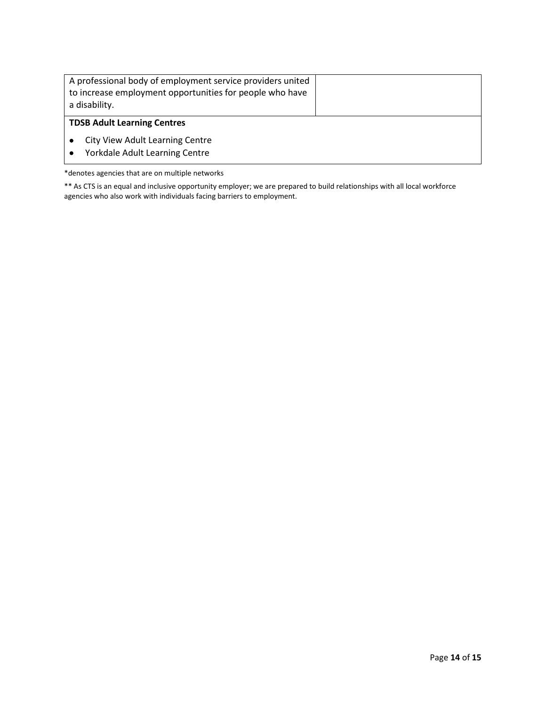| A professional body of employment service providers united<br>to increase employment opportunities for people who have<br>a disability. |  |  |  |
|-----------------------------------------------------------------------------------------------------------------------------------------|--|--|--|
| <b>TDSB Adult Learning Centres</b>                                                                                                      |  |  |  |
| City View Adult Learning Centre<br>Yorkdale Adult Learning Centre                                                                       |  |  |  |

\*denotes agencies that are on multiple networks

\*\* As CTS is an equal and inclusive opportunity employer; we are prepared to build relationships with all local workforce agencies who also work with individuals facing barriers to employment.